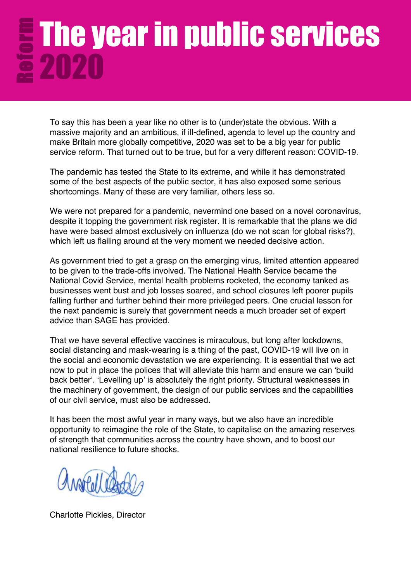# The year in public services 2020

To say this has been a year like no other is to (under)state the obvious. With a massive majority and an ambitious, if ill-defined, agenda to level up the country and make Britain more globally competitive, 2020 was set to be a big year for public service reform. That turned out to be true, but for a very different reason: COVID-19.

The pandemic has tested the State to its extreme, and while it has demonstrated some of the best aspects of the public sector, it has also exposed some serious shortcomings. Many of these are very familiar, others less so.

We were not prepared for a pandemic, nevermind one based on a novel coronavirus, despite it topping the government risk register. It is remarkable that the plans we did have were based almost exclusively on influenza (do we not scan for global risks?), which left us flailing around at the very moment we needed decisive action.

As government tried to get a grasp on the emerging virus, limited attention appeared to be given to the trade-offs involved. The National Health Service became the National Covid Service, mental health problems rocketed, the economy tanked as businesses went bust and job losses soared, and school closures left poorer pupils falling further and further behind their more privileged peers. One crucial lesson for the next pandemic is surely that government needs a much broader set of expert advice than SAGE has provided.

That we have several effective vaccines is miraculous, but long after lockdowns, social distancing and mask-wearing is a thing of the past, COVID-19 will live on in the social and economic devastation we are experiencing. It is essential that we act now to put in place the polices that will alleviate this harm and ensure we can 'build back better'. 'Levelling up' is absolutely the right priority. Structural weaknesses in the machinery of government, the design of our public services and the capabilities of our civil service, must also be addressed.

It has been the most awful year in many ways, but we also have an incredible opportunity to reimagine the role of the State, to capitalise on the amazing reserves of strength that communities across the country have shown, and to boost our national resilience to future shocks.

Charlotte Pickles, Director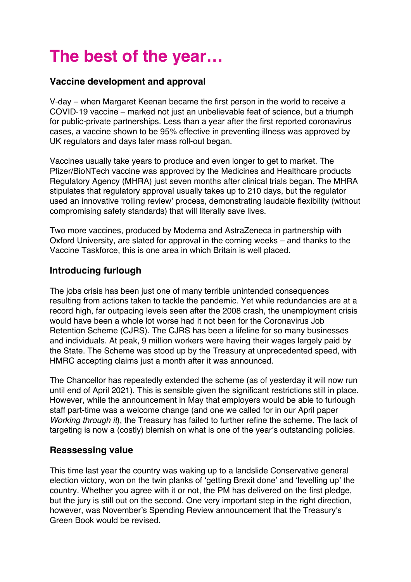# **The best of the year…**

### **Vaccine development and approval**

V-day – when Margaret Keenan became the first person in the world to receive a COVID-19 vaccine – marked not just an unbelievable feat of science, but a triumph for public-private partnerships. Less than a year after the first reported coronavirus cases, a vaccine shown to be 95% effective in preventing illness was approved by UK regulators and days later mass roll-out began.

Vaccines usually take years to produce and even longer to get to market. The Pfizer/BioNTech vaccine was approved by the Medicines and Healthcare products Regulatory Agency (MHRA) just seven months after clinical trials began. The MHRA stipulates that regulatory approval usually takes up to 210 days, but the regulator used an innovative 'rolling review' process, demonstrating laudable flexibility (without compromising safety standards) that will literally save lives.

Two more vaccines, produced by Moderna and AstraZeneca in partnership with Oxford University, are slated for approval in the coming weeks – and thanks to the Vaccine Taskforce, this is one area in which Britain is well placed.

### **Introducing furlough**

The jobs crisis has been just one of many terrible unintended consequences resulting from actions taken to tackle the pandemic. Yet while redundancies are at a record high, far outpacing levels seen after the 2008 crash, the unemployment crisis would have been a whole lot worse had it not been for the Coronavirus Job Retention Scheme (CJRS). The CJRS has been a lifeline for so many businesses and individuals. At peak, 9 million workers were having their wages largely paid by the State. The Scheme was stood up by the Treasury at unprecedented speed, with HMRC accepting claims just a month after it was announced.

The Chancellor has repeatedly extended the scheme (as of yesterday it will now run until end of April 2021). This is sensible given the significant restrictions still in place. However, while the announcement in May that employers would be able to furlough staff part-time was a welcome change (and one we called for in our April paper *Working through it*), the Treasury has failed to further refine the scheme. The lack of targeting is now a (costly) blemish on what is one of the year's outstanding policies.

#### **Reassessing value**

This time last year the country was waking up to a landslide Conservative general election victory, won on the twin planks of 'getting Brexit done' and 'levelling up' the country. Whether you agree with it or not, the PM has delivered on the first pledge, but the jury is still out on the second. One very important step in the right direction, however, was November's Spending Review announcement that the Treasury's Green Book would be revised.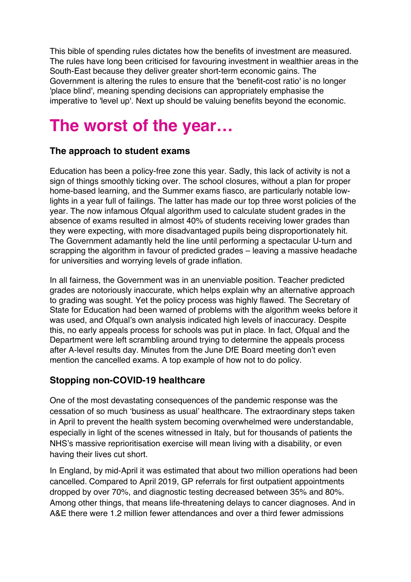This bible of spending rules dictates how the benefits of investment are measured. The rules have long been criticised for favouring investment in wealthier areas in the South-East because they deliver greater short-term economic gains. The Government is altering the rules to ensure that the 'benefit-cost ratio' is no longer 'place blind', meaning spending decisions can appropriately emphasise the imperative to 'level up'. Next up should be valuing benefits beyond the economic.

# **The worst of the year…**

### **The approach to student exams**

Education has been a policy-free zone this year. Sadly, this lack of activity is not a sign of things smoothly ticking over. The school closures, without a plan for proper home-based learning, and the Summer exams fiasco, are particularly notable lowlights in a year full of failings. The latter has made our top three worst policies of the year. The now infamous Ofqual algorithm used to calculate student grades in the absence of exams resulted in almost 40% of students receiving lower grades than they were expecting, with more disadvantaged pupils being disproportionately hit. The Government adamantly held the line until performing a spectacular U-turn and scrapping the algorithm in favour of predicted grades – leaving a massive headache for universities and worrying levels of grade inflation.

In all fairness, the Government was in an unenviable position. Teacher predicted grades are notoriously inaccurate, which helps explain why an alternative approach to grading was sought. Yet the policy process was highly flawed. The Secretary of State for Education had been warned of problems with the algorithm weeks before it was used, and Ofqual's own analysis indicated high levels of inaccuracy. Despite this, no early appeals process for schools was put in place. In fact, Ofqual and the Department were left scrambling around trying to determine the appeals process after A-level results day. Minutes from the June DfE Board meeting don't even mention the cancelled exams. A top example of how not to do policy.

## **Stopping non-COVID-19 healthcare**

One of the most devastating consequences of the pandemic response was the cessation of so much 'business as usual' healthcare. The extraordinary steps taken in April to prevent the health system becoming overwhelmed were understandable, especially in light of the scenes witnessed in Italy, but for thousands of patients the NHS's massive reprioritisation exercise will mean living with a disability, or even having their lives cut short.

In England, by mid-April it was estimated that about two million operations had been cancelled. Compared to April 2019, GP referrals for first outpatient appointments dropped by over 70%, and diagnostic testing decreased between 35% and 80%. Among other things, that means life-threatening delays to cancer diagnoses. And in A&E there were 1.2 million fewer attendances and over a third fewer admissions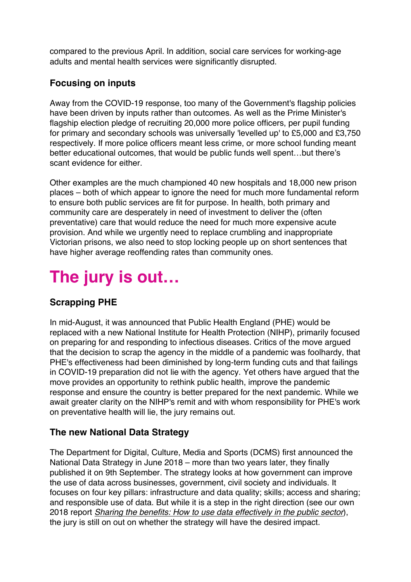compared to the previous April. In addition, social care services for working-age adults and mental health services were significantly disrupted.

# **Focusing on inputs**

Away from the COVID-19 response, too many of the Government's flagship policies have been driven by inputs rather than outcomes. As well as the Prime Minister's flagship election pledge of recruiting 20,000 more police officers, per pupil funding for primary and secondary schools was universally 'levelled up' to £5,000 and £3,750 respectively. If more police officers meant less crime, or more school funding meant better educational outcomes, that would be public funds well spent…but there's scant evidence for either.

Other examples are the much championed 40 new hospitals and 18,000 new prison places – both of which appear to ignore the need for much more fundamental reform to ensure both public services are fit for purpose. In health, both primary and community care are desperately in need of investment to deliver the (often preventative) care that would reduce the need for much more expensive acute provision. And while we urgently need to replace crumbling and inappropriate Victorian prisons, we also need to stop locking people up on short sentences that have higher average reoffending rates than community ones.

# **The jury is out…**

# **Scrapping PHE**

In mid-August, it was announced that Public Health England (PHE) would be replaced with a new National Institute for Health Protection (NIHP), primarily focused on preparing for and responding to infectious diseases. Critics of the move argued that the decision to scrap the agency in the middle of a pandemic was foolhardy, that PHE's effectiveness had been diminished by long-term funding cuts and that failings in COVID-19 preparation did not lie with the agency. Yet others have argued that the move provides an opportunity to rethink public health, improve the pandemic response and ensure the country is better prepared for the next pandemic. While we await greater clarity on the NIHP's remit and with whom responsibility for PHE's work on preventative health will lie, the jury remains out.

## **The new National Data Strategy**

The Department for Digital, Culture, Media and Sports (DCMS) first announced the National Data Strategy in June 2018 – more than two years later, they finally published it on 9th September. The strategy looks at how government can improve the use of data across businesses, government, civil society and individuals. It focuses on four key pillars: infrastructure and data quality; skills; access and sharing; and responsible use of data. But while it is a step in the right direction (see our own 2018 report *Sharing the benefits: How to use data effectively in the public sector*), the jury is still on out on whether the strategy will have the desired impact.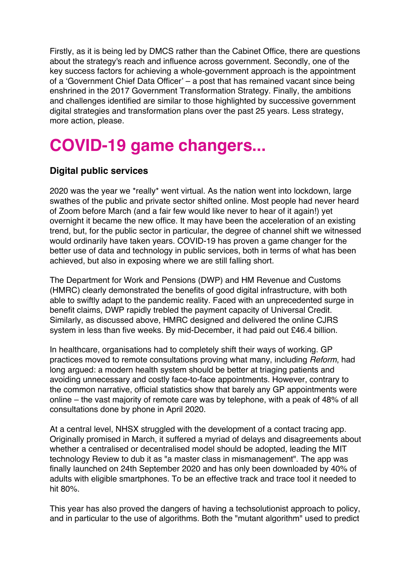Firstly, as it is being led by DMCS rather than the Cabinet Office, there are questions about the strategy's reach and influence across government. Secondly, one of the key success factors for achieving a whole-government approach is the appointment of a 'Government Chief Data Officer' – a post that has remained vacant since being enshrined in the 2017 Government Transformation Strategy. Finally, the ambitions and challenges identified are similar to those highlighted by successive government digital strategies and transformation plans over the past 25 years. Less strategy, more action, please.

# **COVID-19 game changers...**

### **Digital public services**

2020 was the year we \*really\* went virtual. As the nation went into lockdown, large swathes of the public and private sector shifted online. Most people had never heard of Zoom before March (and a fair few would like never to hear of it again!) yet overnight it became the new office. It may have been the acceleration of an existing trend, but, for the public sector in particular, the degree of channel shift we witnessed would ordinarily have taken years. COVID-19 has proven a game changer for the better use of data and technology in public services, both in terms of what has been achieved, but also in exposing where we are still falling short.

The Department for Work and Pensions (DWP) and HM Revenue and Customs (HMRC) clearly demonstrated the benefits of good digital infrastructure, with both able to swiftly adapt to the pandemic reality. Faced with an unprecedented surge in benefit claims, DWP rapidly trebled the payment capacity of Universal Credit. Similarly, as discussed above, HMRC designed and delivered the online CJRS system in less than five weeks. By mid-December, it had paid out £46.4 billion.

In healthcare, organisations had to completely shift their ways of working. GP practices moved to remote consultations proving what many, including *Reform*, had long argued: a modern health system should be better at triaging patients and avoiding unnecessary and costly face-to-face appointments. However, contrary to the common narrative, official statistics show that barely any GP appointments were online – the vast majority of remote care was by telephone, with a peak of 48% of all consultations done by phone in April 2020.

At a central level, NHSX struggled with the development of a contact tracing app. Originally promised in March, it suffered a myriad of delays and disagreements about whether a centralised or decentralised model should be adopted, leading the MIT technology Review to dub it as "a master class in mismanagement". The app was finally launched on 24th September 2020 and has only been downloaded by 40% of adults with eligible smartphones. To be an effective track and trace tool it needed to hit 80%.

This year has also proved the dangers of having a techsolutionist approach to policy, and in particular to the use of algorithms. Both the "mutant algorithm" used to predict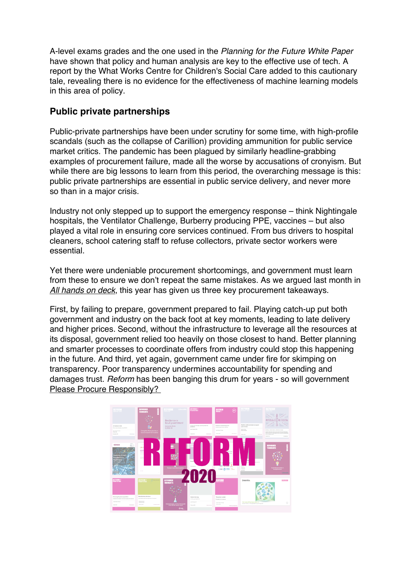A-level exams grades and the one used in the *Planning for the Future White Paper* have shown that policy and human analysis are key to the effective use of tech. A report by the What Works Centre for Children's Social Care added to this cautionary tale, revealing there is no evidence for the effectiveness of machine learning models in this area of policy.

### **Public private partnerships**

Public-private partnerships have been under scrutiny for some time, with high-profile scandals (such as the collapse of Carillion) providing ammunition for public service market critics. The pandemic has been plagued by similarly headline-grabbing examples of procurement failure, made all the worse by accusations of cronyism. But while there are big lessons to learn from this period, the overarching message is this: public private partnerships are essential in public service delivery, and never more so than in a major crisis.

Industry not only stepped up to support the emergency response – think Nightingale hospitals, the Ventilator Challenge, Burberry producing PPE, vaccines – but also played a vital role in ensuring core services continued. From bus drivers to hospital cleaners, school catering staff to refuse collectors, private sector workers were essential.

Yet there were undeniable procurement shortcomings, and government must learn from these to ensure we don't repeat the same mistakes. As we argued last month in *All hands on deck*, this year has given us three key procurement takeaways.

First, by failing to prepare, government prepared to fail. Playing catch-up put both government and industry on the back foot at key moments, leading to late delivery and higher prices. Second, without the infrastructure to leverage all the resources at its disposal, government relied too heavily on those closest to hand. Better planning and smarter processes to coordinate offers from industry could stop this happening in the future. And third, yet again, government came under fire for skimping on transparency. Poor transparency undermines accountability for spending and damages trust. *Reform* has been banging this drum for years - so will government Please Procure Responsibly?

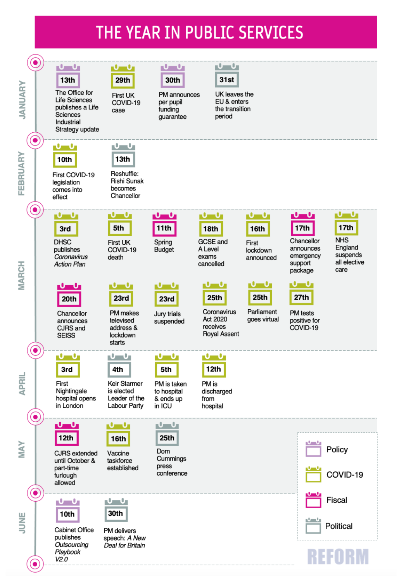# THE YEAR IN PUBLIC SERVICES